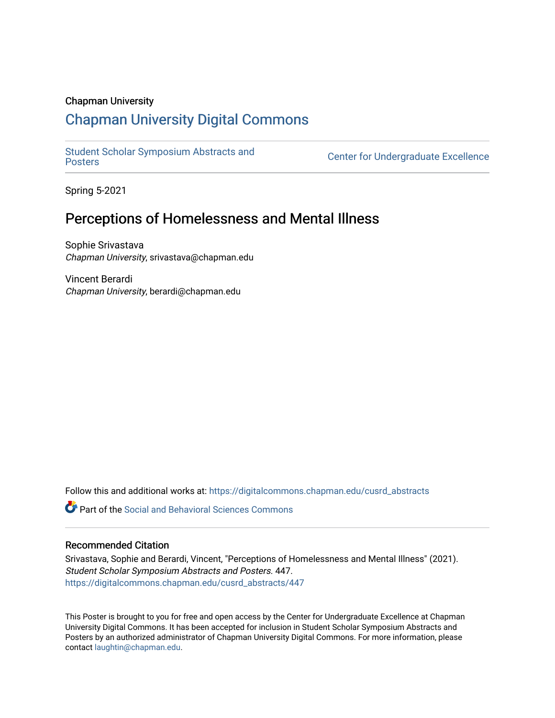### Chapman University

### [Chapman University Digital Commons](https://digitalcommons.chapman.edu/)

[Student Scholar Symposium Abstracts and](https://digitalcommons.chapman.edu/cusrd_abstracts) 

**Center for Undergraduate Excellence** 

Spring 5-2021

### Perceptions of Homelessness and Mental Illness

Sophie Srivastava Chapman University, srivastava@chapman.edu

Vincent Berardi Chapman University, berardi@chapman.edu

Follow this and additional works at: [https://digitalcommons.chapman.edu/cusrd\\_abstracts](https://digitalcommons.chapman.edu/cusrd_abstracts?utm_source=digitalcommons.chapman.edu%2Fcusrd_abstracts%2F447&utm_medium=PDF&utm_campaign=PDFCoverPages) 

**C** Part of the Social and Behavioral Sciences Commons

### Recommended Citation

Srivastava, Sophie and Berardi, Vincent, "Perceptions of Homelessness and Mental Illness" (2021). Student Scholar Symposium Abstracts and Posters. 447. [https://digitalcommons.chapman.edu/cusrd\\_abstracts/447](https://digitalcommons.chapman.edu/cusrd_abstracts/447?utm_source=digitalcommons.chapman.edu%2Fcusrd_abstracts%2F447&utm_medium=PDF&utm_campaign=PDFCoverPages) 

This Poster is brought to you for free and open access by the Center for Undergraduate Excellence at Chapman University Digital Commons. It has been accepted for inclusion in Student Scholar Symposium Abstracts and Posters by an authorized administrator of Chapman University Digital Commons. For more information, please contact [laughtin@chapman.edu](mailto:laughtin@chapman.edu).